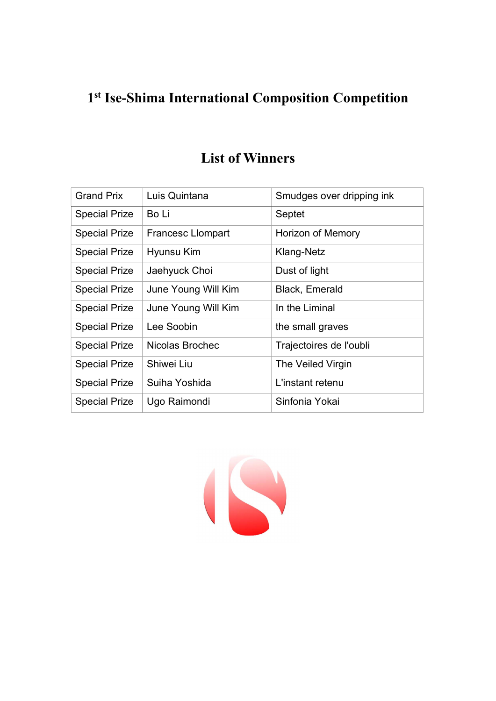## 1 st Ise-Shima International Composition Competition

| <b>Grand Prix</b>    | Luis Quintana            | Smudges over dripping ink |
|----------------------|--------------------------|---------------------------|
| <b>Special Prize</b> | Bo Li                    | Septet                    |
| <b>Special Prize</b> | <b>Francesc Llompart</b> | <b>Horizon of Memory</b>  |
| <b>Special Prize</b> | Hyunsu Kim               | Klang-Netz                |
| <b>Special Prize</b> | Jaehyuck Choi            | Dust of light             |
| <b>Special Prize</b> | June Young Will Kim      | <b>Black, Emerald</b>     |
| <b>Special Prize</b> | June Young Will Kim      | In the Liminal            |
| <b>Special Prize</b> | Lee Soobin               | the small graves          |
| <b>Special Prize</b> | Nicolas Brochec          | Trajectoires de l'oubli   |
| <b>Special Prize</b> | Shiwei Liu               | The Veiled Virgin         |
| <b>Special Prize</b> | Suiha Yoshida            | L'instant retenu          |
| <b>Special Prize</b> | Ugo Raimondi             | Sinfonia Yokai            |

## List of Winners

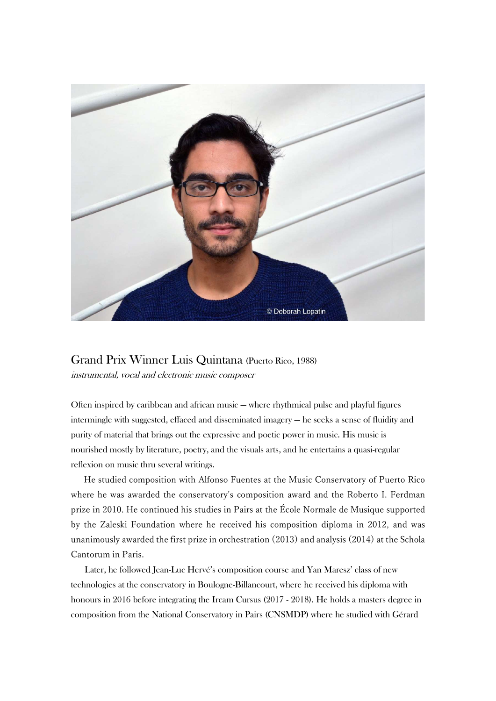

Grand Prix Winner Luis Quintana (Puerto Rico, 1988) instrumental, vocal and electronic music composer

Often inspired by caribbean and african music — where rhythmical pulse and playful figures intermingle with suggested, effaced and disseminated imagery — he seeks a sense of fluidity and purity of material that brings out the expressive and poetic power in music. His music is nourished mostly by literature, poetry, and the visuals arts, and he entertains a quasi-regular reflexion on music thru several writings.

He studied composition with Alfonso Fuentes at the Music Conservatory of Puerto Rico where he was awarded the conservatory's composition award and the Roberto I. Ferdman prize in 2010. He continued his studies in Pairs at the École Normale de Musique supported by the Zaleski Foundation where he received his composition diploma in 2012, and was unanimously awarded the first prize in orchestration (2013) and analysis (2014) at the Schola Cantorum in Paris.

Later, he followed Jean-Luc Hervé's composition course and Yan Maresz' class of new technologies at the conservatory in Boulogne-Billancourt, where he received his diploma with honours in 2016 before integrating the Ircam Cursus (2017 - 2018). He holds a masters degree in composition from the National Conservatory in Pairs (CNSMDP) where he studied with Gérard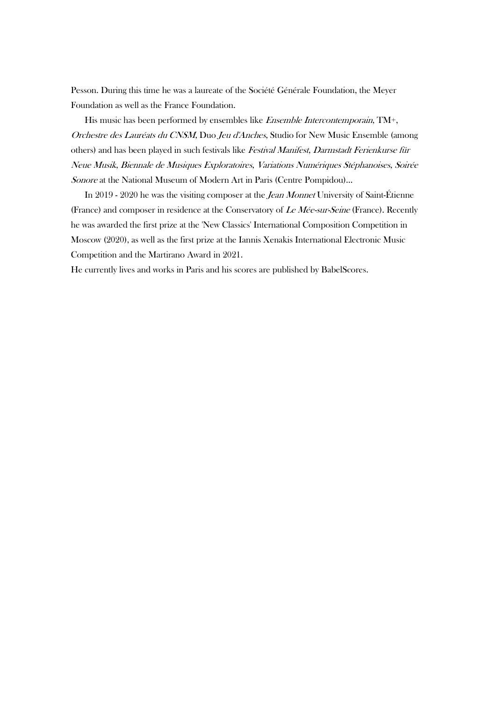Pesson. During this time he was a laureate of the Société Générale Foundation, the Meyer Foundation as well as the France Foundation.

His music has been performed by ensembles like *Ensemble Intercontemporain*, TM+, Orchestre des Lauréats du CNSM, Duo Jeu d'Anches, Studio for New Music Ensemble (among others) and has been played in such festivals like Festival Manifest, Darmstadt Ferienkurse für Neue Musik, Biennale de Musiques Exploratoires, Variations Numériques Stéphanoises, Soirée Sonore at the National Museum of Modern Art in Paris (Centre Pompidou)…

In 2019 - 2020 he was the visiting composer at the *Jean Monnet* University of Saint-Étienne (France) and composer in residence at the Conservatory of Le Mée-sur-Seine (France). Recently he was awarded the first prize at the 'New Classics' International Composition Competition in Moscow (2020), as well as the first prize at the Iannis Xenakis International Electronic Music Competition and the Martirano Award in 2021.

He currently lives and works in Paris and his scores are published by BabelScores.